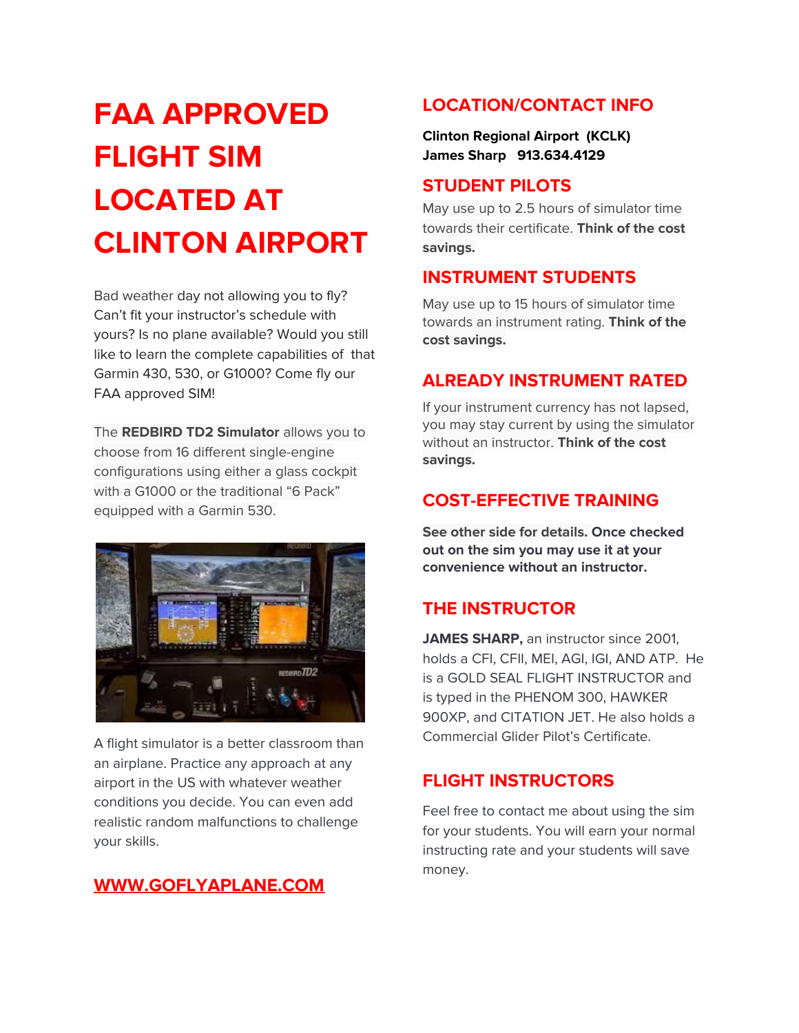# **FAA APPROVED FLIGHT SIM LOCATED AT CLINTON AIRPORT**

Bad weather day not allowing you to fly? Can't fit your instructor's schedule with yours? Is no plane available? Would you still like to learn the complete capabilities of that Garmin 430, 530, or G1000? Come fly our FAA approved SIM!

The **REDBIRD TD2 Simulator** allows you to choose from 16 different single-engine configurations using either a glass cockpit with a G1000 or the traditional "6 Pack" equipped with a Garmin 530.



A flight simulator is a better classroom than an airplane. Practice any approach at any airport in the US with whatever weather conditions you decide. You can even add realistic random malfunctions to challenge your skills.

## **[WWW.GOFLYAPLANE.COM](http://www.goflyaplane.com/)**

## **LOCATION/CONTACT INFO**

**Clinton Regional Airport (KCLK) James Sharp 913.634.4129**

## **STUDENT PILOTS**

May use up to 2.5 hours of simulator time towards their certificate. **Think of the cost savings.**

# **INSTRUMENT STUDENTS**

May use up to 15 hours of simulator time towards an instrument rating. **Think of the cost savings.**

## **ALREADY INSTRUMENT RATED**

If your instrument currency has not lapsed, you may stay current by using the simulator without an instructor. **Think of the cost savings.**

## **COST-EFFECTIVE TRAINING**

**See other side for details. Once checked out on the sim you may use it at your convenience without an instructor.**

# **THE INSTRUCTOR**

**JAMES SHARP,** an instructor since 2001, holds a CFI, CFII, MEI, AGI, IGI, AND ATP. He is a GOLD SEAL FLIGHT INSTRUCTOR and is typed in the PHENOM 300, HAWKER 900XP, and CITATION JET. He also holds a Commercial Glider Pilot's Certificate.

# **FLIGHT INSTRUCTORS**

Feel free to contact me about using the sim for your students. You will earn your normal instructing rate and your students will save money.